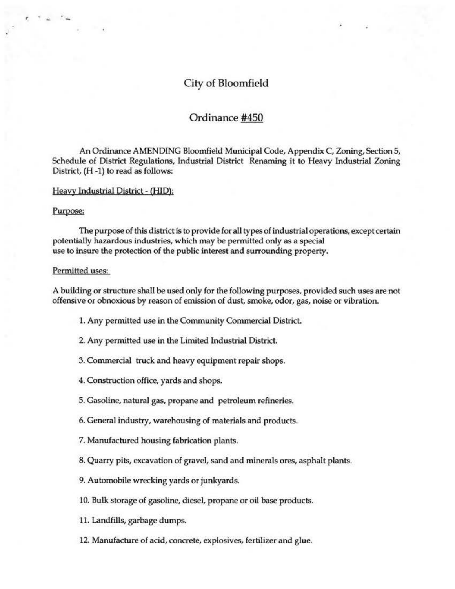# City of Bloomfield

# Ordinance #450

An Ordinance AMENDING Bloomfield Municipal Code, Appendix C, Zoning, Section 5, Schedule of District Regulations, Industrial District Renaming it to Heavy Industrial Zoning District, (H -1) to read as follows:

#### Heavy Industrial District - (HID):

#### Purpose:

 $e^{-\gamma} = -\gamma$ 

The purpose of this district is to provide for all types of industrial operations, except certain potentially hazardous industries, which may be permitted only as a special use to insure the protection of the public interest and surrounding property.

### Permitted uses:

A building or structure shall be used only for the following purposes, provided such uses are not offensive or obnoxious by reason of emission of dust, smoke, odor, gas, noise or vibration.

- 1. Any permitted use in the Community Commercial District.
- 2. Any permitted use in the Limited Industrial District.
- 3. Commercial truck and heavy equipment repair shops.
- 4. Construction office, yards and shops.
- 5. Gasoline, natural gas, propane and petroleum refineries.
- 6. General industry, warehousing of materials and products.
- 7. Manufactured housing fabrication plants.
- 8. Quarry pits, excavation of gravel, sand and minerals ores, asphalt plants.
- 9. Automobile wrecking yards or junkyards.
- 10. Bulk storage of gasoline, diesel, propane or oil base products.
- 11. Landfills, garbage dumps.
- 12. Manufacture of acid, concrete, explosives, fertilizer and glue.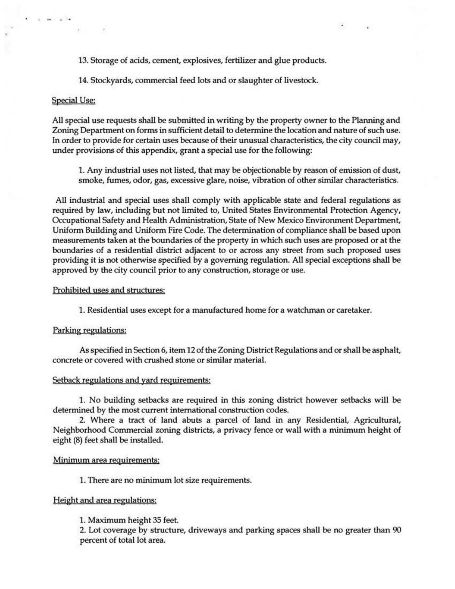13. Storage of acids, cement, explosives, fertilizer and glue products.

14. Stockyards, commercial feed lots and or slaughter of livestock.

## Special Use:

 $\sim$   $\sim$   $\sim$   $\sim$ 

AU special use requests shall be submitted in writing by the property owner to the Planning and Zoning Department on forms in sufficient detail to determine the location and nature of such use. ln order to provide for certain uses because of their unusual characteristics, the city council may, under provisions of this appendix, grant a special use for the following:

1. Any industrial uses not listed, that may be objectionable by reason of emission of dust, smoke, fumes, odor, gas, excessive glare, noise, vibration of other similar characteristics.

 $\cdot$   $\cdot$ 

AU industrial and special uses shall comply with applicable state and federal regulations as required by law, including but not limited to, United States Environmental Protection Agency, Occupational Safety and Health Administration, State of New Mexico Environment Department, Uniform Building and Uniform Fire Code. The determination of compliance shall be based upon measurements taken at the boundaries of the property in which such uses are proposed or at the boundaries of a residential district adjacent to or across any street from such proposed uses providing it is not otherwise specified by a governing regulation. AU special exceptions shall be approved by the city council prior to any construction, storage or use.

### Prohibited uses and structures:

1. Residential uses except for a manufactured home for a watchman or caretaker.

### Parking regulations:

As specified in Section 6, item 12 of the Zoning District Regulations and or shall be asphalt, concrete or covered with crushed stone or similar material.

## Setback regulations and yard requirements:

1. No building setbacks are required in this zoning district however setbacks will be determined by the most current international construction codes.

2. Where a tract of land abuts a parcel of land in any Residential, Agricultural, Neighborhood Commercial zoning districts, a privacy fence or wall with a minimum height of eight (8) feet shall be installed.

#### Minimum area requirements:

1. There are no minimum lot size requirements.

# Height and area regulations:

1. Maximum height 35 feet.

2. Lot coverage by structure, driveways and parking spaces shall be no greater than 90 percent of total lot area.